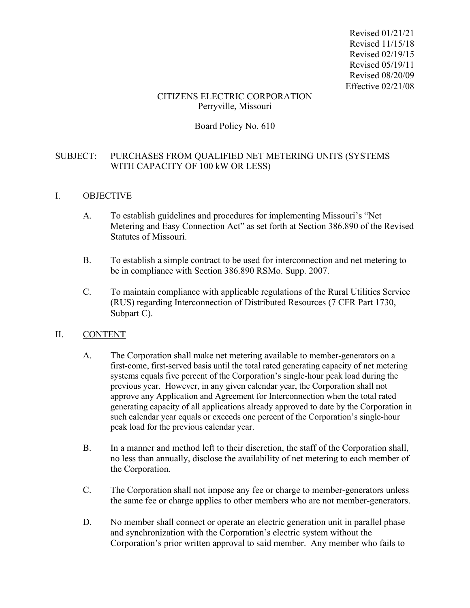Revised 01/21/21 Revised 11/15/18 Revised 02/19/15 Revised 05/19/11 Revised 08/20/09 Effective 02/21/08

### CITIZENS ELECTRIC CORPORATION Perryville, Missouri

# Board Policy No. 610

# SUBJECT: PURCHASES FROM QUALIFIED NET METERING UNITS (SYSTEMS WITH CAPACITY OF 100 kW OR LESS)

### I. OBJECTIVE

- A. To establish guidelines and procedures for implementing Missouri's "Net Metering and Easy Connection Act" as set forth at Section 386.890 of the Revised Statutes of Missouri.
- B. To establish a simple contract to be used for interconnection and net metering to be in compliance with Section 386.890 RSMo. Supp. 2007.
- C. To maintain compliance with applicable regulations of the Rural Utilities Service (RUS) regarding Interconnection of Distributed Resources (7 CFR Part 1730, Subpart C).

## II. CONTENT

- A. The Corporation shall make net metering available to member-generators on a first-come, first-served basis until the total rated generating capacity of net metering systems equals five percent of the Corporation's single-hour peak load during the previous year. However, in any given calendar year, the Corporation shall not approve any Application and Agreement for Interconnection when the total rated generating capacity of all applications already approved to date by the Corporation in such calendar year equals or exceeds one percent of the Corporation's single-hour peak load for the previous calendar year.
- B. In a manner and method left to their discretion, the staff of the Corporation shall, no less than annually, disclose the availability of net metering to each member of the Corporation.
- C. The Corporation shall not impose any fee or charge to member-generators unless the same fee or charge applies to other members who are not member-generators.
- D. No member shall connect or operate an electric generation unit in parallel phase and synchronization with the Corporation's electric system without the Corporation's prior written approval to said member. Any member who fails to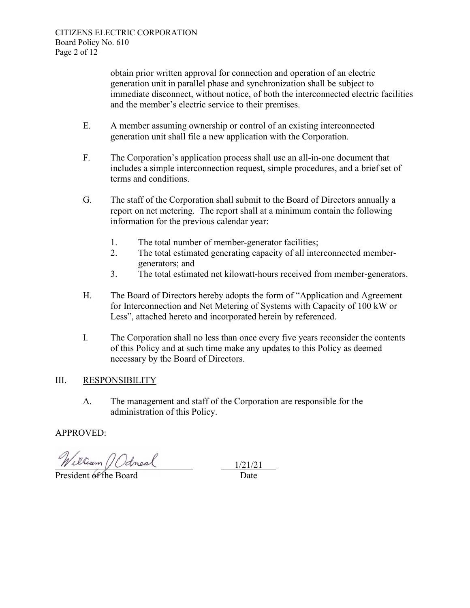obtain prior written approval for connection and operation of an electric generation unit in parallel phase and synchronization shall be subject to immediate disconnect, without notice, of both the interconnected electric facilities and the member's electric service to their premises.

- E. A member assuming ownership or control of an existing interconnected generation unit shall file a new application with the Corporation.
- F. The Corporation's application process shall use an all-in-one document that includes a simple interconnection request, simple procedures, and a brief set of terms and conditions.
- G. The staff of the Corporation shall submit to the Board of Directors annually a report on net metering. The report shall at a minimum contain the following information for the previous calendar year:
	- 1. The total number of member-generator facilities;
	- 2. The total estimated generating capacity of all interconnected membergenerators; and
	- 3. The total estimated net kilowatt-hours received from member-generators.
- H. The Board of Directors hereby adopts the form of "Application and Agreement for Interconnection and Net Metering of Systems with Capacity of 100 kW or Less", attached hereto and incorporated herein by referenced.
- I. The Corporation shall no less than once every five years reconsider the contents of this Policy and at such time make any updates to this Policy as deemed necessary by the Board of Directors.

# III. RESPONSIBILITY

A. The management and staff of the Corporation are responsible for the administration of this Policy.

# APPROVED:

William *Odneal* 

 $\frac{1/21/21}{\text{Date}}$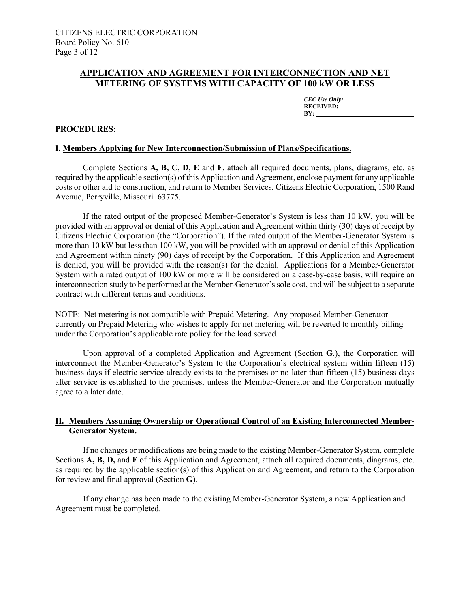### **APPLICATION AND AGREEMENT FOR INTERCONNECTION AND NET METERING OF SYSTEMS WITH CAPACITY OF 100 kW OR LESS**

*CEC Use Only:*  **RECEIVED: BY:** 

#### **PROCEDURES:**

#### **I. Members Applying for New Interconnection/Submission of Plans/Specifications.**

Complete Sections **A, B, C, D, E** and **F**, attach all required documents, plans, diagrams, etc. as required by the applicable section(s) of this Application and Agreement, enclose payment for any applicable costs or other aid to construction, and return to Member Services, Citizens Electric Corporation, 1500 Rand Avenue, Perryville, Missouri 63775.

If the rated output of the proposed Member-Generator's System is less than 10 kW, you will be provided with an approval or denial of this Application and Agreement within thirty (30) days of receipt by Citizens Electric Corporation (the "Corporation"). If the rated output of the Member-Generator System is more than 10 kW but less than 100 kW, you will be provided with an approval or denial of this Application and Agreement within ninety (90) days of receipt by the Corporation. If this Application and Agreement is denied, you will be provided with the reason(s) for the denial. Applications for a Member-Generator System with a rated output of 100 kW or more will be considered on a case-by-case basis, will require an interconnection study to be performed at the Member-Generator's sole cost, and will be subject to a separate contract with different terms and conditions.

NOTE: Net metering is not compatible with Prepaid Metering. Any proposed Member-Generator currently on Prepaid Metering who wishes to apply for net metering will be reverted to monthly billing under the Corporation's applicable rate policy for the load served.

Upon approval of a completed Application and Agreement (Section **G**.), the Corporation will interconnect the Member-Generator's System to the Corporation's electrical system within fifteen (15) business days if electric service already exists to the premises or no later than fifteen (15) business days after service is established to the premises, unless the Member-Generator and the Corporation mutually agree to a later date.

### **II. Members Assuming Ownership or Operational Control of an Existing Interconnected Member-Generator System.**

If no changes or modifications are being made to the existing Member-Generator System, complete Sections **A, B, D,** and **F** of this Application and Agreement, attach all required documents, diagrams, etc. as required by the applicable section(s) of this Application and Agreement, and return to the Corporation for review and final approval (Section **G**).

If any change has been made to the existing Member-Generator System, a new Application and Agreement must be completed.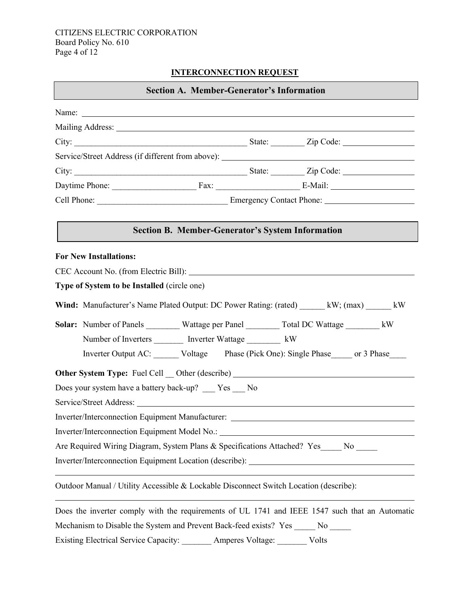### CITIZENS ELECTRIC CORPORATION Board Policy No. 610 Page 4 of 12

# **INTERCONNECTION REQUEST**

| <b>Section A. Member-Generator's Information</b> |                                                                                                |  |  |  |  |
|--------------------------------------------------|------------------------------------------------------------------------------------------------|--|--|--|--|
|                                                  |                                                                                                |  |  |  |  |
|                                                  |                                                                                                |  |  |  |  |
|                                                  |                                                                                                |  |  |  |  |
|                                                  | Service/Street Address (if different from above): _______________________________              |  |  |  |  |
|                                                  |                                                                                                |  |  |  |  |
|                                                  |                                                                                                |  |  |  |  |
|                                                  |                                                                                                |  |  |  |  |
|                                                  | <b>Section B. Member-Generator's System Information</b>                                        |  |  |  |  |
|                                                  | <b>For New Installations:</b>                                                                  |  |  |  |  |
|                                                  |                                                                                                |  |  |  |  |
|                                                  | Type of System to be Installed (circle one)                                                    |  |  |  |  |
|                                                  | Wind: Manufacturer's Name Plated Output: DC Power Rating: (rated) _______ kW; (max) ______ kW  |  |  |  |  |
|                                                  | Solar: Number of Panels _________ Wattage per Panel ________ Total DC Wattage _______ kW       |  |  |  |  |
|                                                  | Number of Inverters _________ Inverter Wattage __________ kW                                   |  |  |  |  |
|                                                  | Inverter Output AC: ______ Voltage Phase (Pick One): Single Phase _____ or 3 Phase             |  |  |  |  |
|                                                  | Other System Type: Fuel Cell _ Other (describe) ________________________________               |  |  |  |  |
|                                                  | Does your system have a battery back-up? __ Yes __ No                                          |  |  |  |  |
|                                                  |                                                                                                |  |  |  |  |
|                                                  | Inverter/Interconnection Equipment Manufacturer:                                               |  |  |  |  |
|                                                  | Inverter/Interconnection Equipment Model No.:                                                  |  |  |  |  |
|                                                  | Are Required Wiring Diagram, System Plans & Specifications Attached? Yes____ No ____           |  |  |  |  |
|                                                  | Inverter/Interconnection Equipment Location (describe): ________________________               |  |  |  |  |
|                                                  | Outdoor Manual / Utility Accessible & Lockable Disconnect Switch Location (describe):          |  |  |  |  |
|                                                  | Does the inverter comply with the requirements of UL 1741 and IEEE 1547 such that an Automatic |  |  |  |  |
|                                                  | Mechanism to Disable the System and Prevent Back-feed exists? Yes<br>No.                       |  |  |  |  |

Existing Electrical Service Capacity: \_\_\_\_\_\_\_ Amperes Voltage: \_\_\_\_\_\_\_ Volts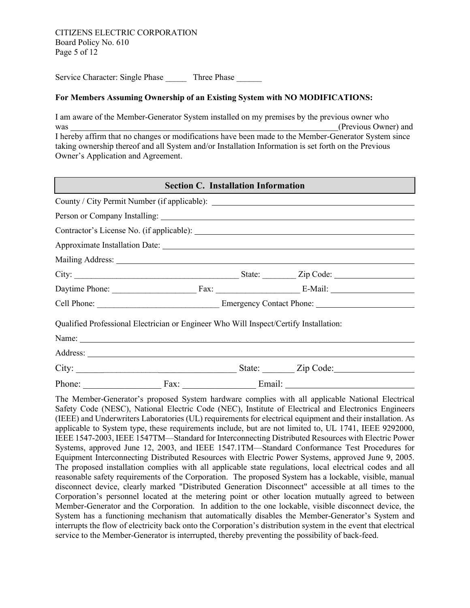Service Character: Single Phase Three Phase

#### **For Members Assuming Ownership of an Existing System with NO MODIFICATIONS:**

I am aware of the Member-Generator System installed on my premises by the previous owner who was (Previous Owner) and (Previous Owner) and (Previous Owner) and (Previous Owner) and (Previous Owner) and  $(1)$ I hereby affirm that no changes or modifications have been made to the Member-Generator System since taking ownership thereof and all System and/or Installation Information is set forth on the Previous Owner's Application and Agreement.

| <b>Section C. Installation Information</b> |                                                                                                                                                                                                                                |  |                                                                                  |  |  |  |  |  |
|--------------------------------------------|--------------------------------------------------------------------------------------------------------------------------------------------------------------------------------------------------------------------------------|--|----------------------------------------------------------------------------------|--|--|--|--|--|
|                                            |                                                                                                                                                                                                                                |  | County / City Permit Number (if applicable): ___________________________________ |  |  |  |  |  |
|                                            |                                                                                                                                                                                                                                |  |                                                                                  |  |  |  |  |  |
|                                            |                                                                                                                                                                                                                                |  |                                                                                  |  |  |  |  |  |
|                                            |                                                                                                                                                                                                                                |  |                                                                                  |  |  |  |  |  |
|                                            | Mailing Address: National Address: National Address: National Address: National Address: National Address: National Address: National Address: National Address: National Address: National Address: National Address: Nationa |  |                                                                                  |  |  |  |  |  |
|                                            |                                                                                                                                                                                                                                |  |                                                                                  |  |  |  |  |  |
|                                            |                                                                                                                                                                                                                                |  |                                                                                  |  |  |  |  |  |
|                                            |                                                                                                                                                                                                                                |  |                                                                                  |  |  |  |  |  |
|                                            | Qualified Professional Electrician or Engineer Who Will Inspect/Certify Installation:                                                                                                                                          |  |                                                                                  |  |  |  |  |  |
|                                            | Name:                                                                                                                                                                                                                          |  |                                                                                  |  |  |  |  |  |
|                                            |                                                                                                                                                                                                                                |  |                                                                                  |  |  |  |  |  |
|                                            | City:                                                                                                                                                                                                                          |  | State: <u>Zip Code: Zip Contract Number</u>                                      |  |  |  |  |  |
| Phone:                                     | Fax:                                                                                                                                                                                                                           |  |                                                                                  |  |  |  |  |  |

The Member-Generator's proposed System hardware complies with all applicable National Electrical Safety Code (NESC), National Electric Code (NEC), Institute of Electrical and Electronics Engineers (IEEE) and Underwriters Laboratories (UL) requirements for electrical equipment and their installation. As applicable to System type, these requirements include, but are not limited to, UL 1741, IEEE 9292000, IEEE 1547-2003, IEEE 1547TM—Standard for Interconnecting Distributed Resources with Electric Power Systems, approved June 12, 2003, and IEEE 1547.1TM—Standard Conformance Test Procedures for Equipment Interconnecting Distributed Resources with Electric Power Systems, approved June 9, 2005. The proposed installation complies with all applicable state regulations, local electrical codes and all reasonable safety requirements of the Corporation. The proposed System has a lockable, visible, manual disconnect device, clearly marked "Distributed Generation Disconnect" accessible at all times to the Corporation's personnel located at the metering point or other location mutually agreed to between Member-Generator and the Corporation. In addition to the one lockable, visible disconnect device, the System has a functioning mechanism that automatically disables the Member-Generator's System and interrupts the flow of electricity back onto the Corporation's distribution system in the event that electrical service to the Member-Generator is interrupted, thereby preventing the possibility of back-feed.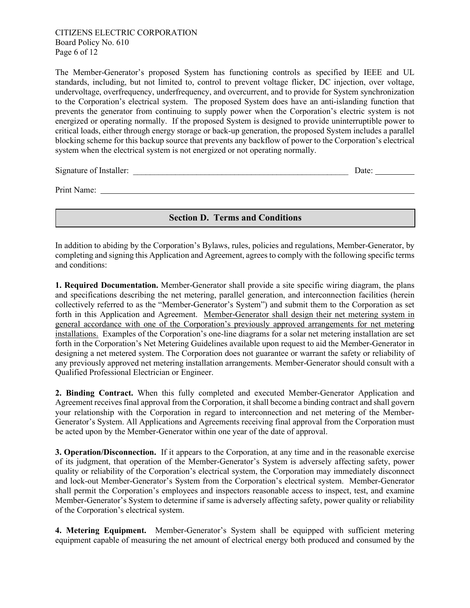The Member-Generator's proposed System has functioning controls as specified by IEEE and UL standards, including, but not limited to, control to prevent voltage flicker, DC injection, over voltage, undervoltage, overfrequency, underfrequency, and overcurrent, and to provide for System synchronization to the Corporation's electrical system. The proposed System does have an anti-islanding function that prevents the generator from continuing to supply power when the Corporation's electric system is not energized or operating normally. If the proposed System is designed to provide uninterruptible power to critical loads, either through energy storage or back-up generation, the proposed System includes a parallel blocking scheme for this backup source that prevents any backflow of power to the Corporation's electrical system when the electrical system is not energized or not operating normally.

Signature of Installer: \_\_\_\_\_\_\_\_\_\_\_\_\_\_\_\_\_\_\_\_\_\_\_\_\_\_\_\_\_\_\_\_\_\_\_\_\_\_\_\_\_\_\_\_\_\_\_\_\_\_\_ Date:

Print Name:

## **Section D. Terms and Conditions**

In addition to abiding by the Corporation's Bylaws, rules, policies and regulations, Member-Generator, by completing and signing this Application and Agreement, agrees to comply with the following specific terms and conditions:

**1. Required Documentation.** Member-Generator shall provide a site specific wiring diagram, the plans and specifications describing the net metering, parallel generation, and interconnection facilities (herein collectively referred to as the "Member-Generator's System") and submit them to the Corporation as set forth in this Application and Agreement. Member-Generator shall design their net metering system in general accordance with one of the Corporation's previously approved arrangements for net metering installations. Examples of the Corporation's one-line diagrams for a solar net metering installation are set forth in the Corporation's Net Metering Guidelines available upon request to aid the Member-Generator in designing a net metered system. The Corporation does not guarantee or warrant the safety or reliability of any previously approved net metering installation arrangements. Member-Generator should consult with a Qualified Professional Electrician or Engineer.

**2. Binding Contract.** When this fully completed and executed Member-Generator Application and Agreement receives final approval from the Corporation, it shall become a binding contract and shall govern your relationship with the Corporation in regard to interconnection and net metering of the Member-Generator's System. All Applications and Agreements receiving final approval from the Corporation must be acted upon by the Member-Generator within one year of the date of approval.

**3. Operation/Disconnection.** If it appears to the Corporation, at any time and in the reasonable exercise of its judgment, that operation of the Member-Generator's System is adversely affecting safety, power quality or reliability of the Corporation's electrical system, the Corporation may immediately disconnect and lock-out Member-Generator's System from the Corporation's electrical system. Member-Generator shall permit the Corporation's employees and inspectors reasonable access to inspect, test, and examine Member-Generator's System to determine if same is adversely affecting safety, power quality or reliability of the Corporation's electrical system.

**4. Metering Equipment.** Member-Generator's System shall be equipped with sufficient metering equipment capable of measuring the net amount of electrical energy both produced and consumed by the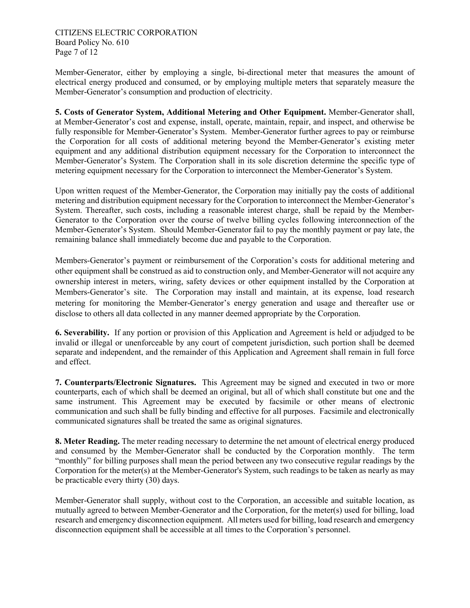CITIZENS ELECTRIC CORPORATION Board Policy No. 610 Page 7 of 12

Member-Generator, either by employing a single, bi-directional meter that measures the amount of electrical energy produced and consumed, or by employing multiple meters that separately measure the Member-Generator's consumption and production of electricity.

**5. Costs of Generator System, Additional Metering and Other Equipment.** Member-Generator shall, at Member-Generator's cost and expense, install, operate, maintain, repair, and inspect, and otherwise be fully responsible for Member-Generator's System. Member-Generator further agrees to pay or reimburse the Corporation for all costs of additional metering beyond the Member-Generator's existing meter equipment and any additional distribution equipment necessary for the Corporation to interconnect the Member-Generator's System. The Corporation shall in its sole discretion determine the specific type of metering equipment necessary for the Corporation to interconnect the Member-Generator's System.

Upon written request of the Member-Generator, the Corporation may initially pay the costs of additional metering and distribution equipment necessary for the Corporation to interconnect the Member-Generator's System. Thereafter, such costs, including a reasonable interest charge, shall be repaid by the Member-Generator to the Corporation over the course of twelve billing cycles following interconnection of the Member-Generator's System. Should Member-Generator fail to pay the monthly payment or pay late, the remaining balance shall immediately become due and payable to the Corporation.

Members-Generator's payment or reimbursement of the Corporation's costs for additional metering and other equipment shall be construed as aid to construction only, and Member-Generator will not acquire any ownership interest in meters, wiring, safety devices or other equipment installed by the Corporation at Members-Generator's site. The Corporation may install and maintain, at its expense, load research metering for monitoring the Member-Generator's energy generation and usage and thereafter use or disclose to others all data collected in any manner deemed appropriate by the Corporation.

**6. Severability.** If any portion or provision of this Application and Agreement is held or adjudged to be invalid or illegal or unenforceable by any court of competent jurisdiction, such portion shall be deemed separate and independent, and the remainder of this Application and Agreement shall remain in full force and effect.

**7. Counterparts/Electronic Signatures.** This Agreement may be signed and executed in two or more counterparts, each of which shall be deemed an original, but all of which shall constitute but one and the same instrument. This Agreement may be executed by facsimile or other means of electronic communication and such shall be fully binding and effective for all purposes. Facsimile and electronically communicated signatures shall be treated the same as original signatures.

**8. Meter Reading.** The meter reading necessary to determine the net amount of electrical energy produced and consumed by the Member-Generator shall be conducted by the Corporation monthly. The term "monthly" for billing purposes shall mean the period between any two consecutive regular readings by the Corporation for the meter(s) at the Member-Generator's System, such readings to be taken as nearly as may be practicable every thirty (30) days.

Member-Generator shall supply, without cost to the Corporation, an accessible and suitable location, as mutually agreed to between Member-Generator and the Corporation, for the meter(s) used for billing, load research and emergency disconnection equipment. All meters used for billing, load research and emergency disconnection equipment shall be accessible at all times to the Corporation's personnel.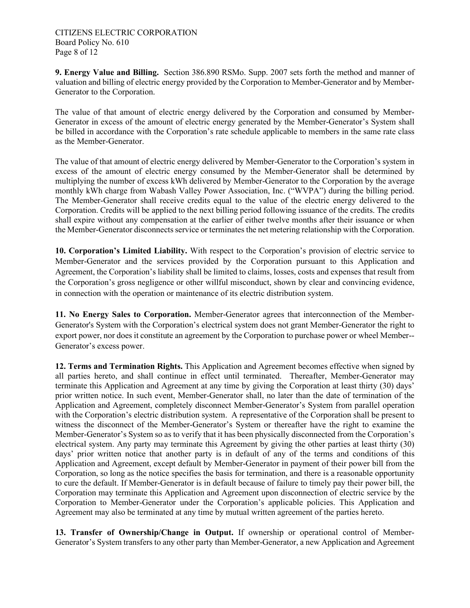**9. Energy Value and Billing.** Section 386.890 RSMo. Supp. 2007 sets forth the method and manner of valuation and billing of electric energy provided by the Corporation to Member-Generator and by Member-Generator to the Corporation.

The value of that amount of electric energy delivered by the Corporation and consumed by Member-Generator in excess of the amount of electric energy generated by the Member-Generator's System shall be billed in accordance with the Corporation's rate schedule applicable to members in the same rate class as the Member-Generator.

The value of that amount of electric energy delivered by Member-Generator to the Corporation's system in excess of the amount of electric energy consumed by the Member-Generator shall be determined by multiplying the number of excess kWh delivered by Member-Generator to the Corporation by the average monthly kWh charge from Wabash Valley Power Association, Inc. ("WVPA") during the billing period. The Member-Generator shall receive credits equal to the value of the electric energy delivered to the Corporation. Credits will be applied to the next billing period following issuance of the credits. The credits shall expire without any compensation at the earlier of either twelve months after their issuance or when the Member-Generator disconnects service or terminates the net metering relationship with the Corporation.

**10. Corporation's Limited Liability.** With respect to the Corporation's provision of electric service to Member-Generator and the services provided by the Corporation pursuant to this Application and Agreement, the Corporation's liability shall be limited to claims, losses, costs and expenses that result from the Corporation's gross negligence or other willful misconduct, shown by clear and convincing evidence, in connection with the operation or maintenance of its electric distribution system.

**11. No Energy Sales to Corporation.** Member-Generator agrees that interconnection of the Member-Generator's System with the Corporation's electrical system does not grant Member-Generator the right to export power, nor does it constitute an agreement by the Corporation to purchase power or wheel Member-- Generator's excess power.

**12. Terms and Termination Rights.** This Application and Agreement becomes effective when signed by all parties hereto, and shall continue in effect until terminated. Thereafter, Member-Generator may terminate this Application and Agreement at any time by giving the Corporation at least thirty (30) days' prior written notice. In such event, Member-Generator shall, no later than the date of termination of the Application and Agreement, completely disconnect Member-Generator's System from parallel operation with the Corporation's electric distribution system. A representative of the Corporation shall be present to witness the disconnect of the Member-Generator's System or thereafter have the right to examine the Member-Generator's System so as to verify that it has been physically disconnected from the Corporation's electrical system. Any party may terminate this Agreement by giving the other parties at least thirty (30) days' prior written notice that another party is in default of any of the terms and conditions of this Application and Agreement, except default by Member-Generator in payment of their power bill from the Corporation, so long as the notice specifies the basis for termination, and there is a reasonable opportunity to cure the default. If Member-Generator is in default because of failure to timely pay their power bill, the Corporation may terminate this Application and Agreement upon disconnection of electric service by the Corporation to Member-Generator under the Corporation's applicable policies. This Application and Agreement may also be terminated at any time by mutual written agreement of the parties hereto.

**13. Transfer of Ownership/Change in Output.** If ownership or operational control of Member-Generator's System transfers to any other party than Member-Generator, a new Application and Agreement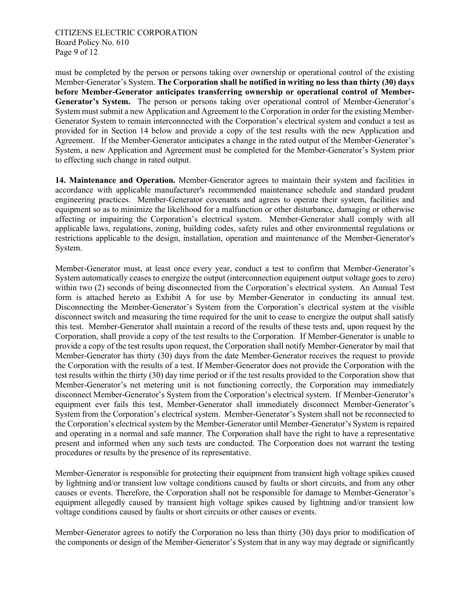must be completed by the person or persons taking over ownership or operational control of the existing Member-Generator's System. **The Corporation shall be notified in writing no less than thirty (30) days before Member-Generator anticipates transferring ownership or operational control of Member-Generator's System.** The person or persons taking over operational control of Member-Generator's System must submit a new Application and Agreement to the Corporation in order for the existing Member-Generator System to remain interconnected with the Corporation's electrical system and conduct a test as provided for in Section 14 below and provide a copy of the test results with the new Application and Agreement. If the Member-Generator anticipates a change in the rated output of the Member-Generator's System, a new Application and Agreement must be completed for the Member-Generator's System prior to effecting such change in rated output.

**14. Maintenance and Operation.** Member-Generator agrees to maintain their system and facilities in accordance with applicable manufacturer's recommended maintenance schedule and standard prudent engineering practices. Member-Generator covenants and agrees to operate their system, facilities and equipment so as to minimize the likelihood for a malfunction or other disturbance, damaging or otherwise affecting or impairing the Corporation's electrical system. Member-Generator shall comply with all applicable laws, regulations, zoning, building codes, safety rules and other environmental regulations or restrictions applicable to the design, installation, operation and maintenance of the Member-Generator's System.

Member-Generator must, at least once every year, conduct a test to confirm that Member-Generator's System automatically ceases to energize the output (interconnection equipment output voltage goes to zero) within two (2) seconds of being disconnected from the Corporation's electrical system. An Annual Test form is attached hereto as Exhibit A for use by Member-Generator in conducting its annual test. Disconnecting the Member-Generator's System from the Corporation's electrical system at the visible disconnect switch and measuring the time required for the unit to cease to energize the output shall satisfy this test. Member-Generator shall maintain a record of the results of these tests and, upon request by the Corporation, shall provide a copy of the test results to the Corporation. If Member-Generator is unable to provide a copy of the test results upon request, the Corporation shall notify Member-Generator by mail that Member-Generator has thirty (30) days from the date Member-Generator receives the request to provide the Corporation with the results of a test. If Member-Generator does not provide the Corporation with the test results within the thirty (30) day time period or if the test results provided to the Corporation show that Member-Generator's net metering unit is not functioning correctly, the Corporation may immediately disconnect Member-Generator's System from the Corporation's electrical system. If Member-Generator's equipment ever fails this test, Member-Generator shall immediately disconnect Member-Generator's System from the Corporation's electrical system. Member-Generator's System shall not be reconnected to the Corporation's electrical system by the Member-Generator until Member-Generator's System is repaired and operating in a normal and safe manner. The Corporation shall have the right to have a representative present and informed when any such tests are conducted. The Corporation does not warrant the testing procedures or results by the presence of its representative.

Member-Generator is responsible for protecting their equipment from transient high voltage spikes caused by lightning and/or transient low voltage conditions caused by faults or short circuits, and from any other causes or events. Therefore, the Corporation shall not be responsible for damage to Member-Generator's equipment allegedly caused by transient high voltage spikes caused by lightning and/or transient low voltage conditions caused by faults or short circuits or other causes or events.

Member-Generator agrees to notify the Corporation no less than thirty (30) days prior to modification of the components or design of the Member-Generator's System that in any way may degrade or significantly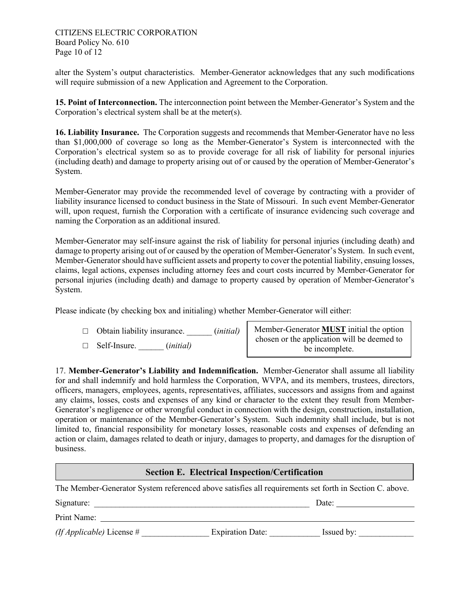alter the System's output characteristics. Member-Generator acknowledges that any such modifications will require submission of a new Application and Agreement to the Corporation.

**15. Point of Interconnection.** The interconnection point between the Member-Generator's System and the Corporation's electrical system shall be at the meter(s).

**16. Liability Insurance.** The Corporation suggests and recommends that Member-Generator have no less than \$1,000,000 of coverage so long as the Member-Generator's System is interconnected with the Corporation's electrical system so as to provide coverage for all risk of liability for personal injuries (including death) and damage to property arising out of or caused by the operation of Member-Generator's System.

Member-Generator may provide the recommended level of coverage by contracting with a provider of liability insurance licensed to conduct business in the State of Missouri. In such event Member-Generator will, upon request, furnish the Corporation with a certificate of insurance evidencing such coverage and naming the Corporation as an additional insured.

Member-Generator may self-insure against the risk of liability for personal injuries (including death) and damage to property arising out of or caused by the operation of Member-Generator's System. In such event, Member-Generator should have sufficient assets and property to cover the potential liability, ensuing losses, claims, legal actions, expenses including attorney fees and court costs incurred by Member-Generator for personal injuries (including death) and damage to property caused by operation of Member-Generator's System.

Please indicate (by checking box and initialing) whether Member-Generator will either:

- □ Obtain liability insurance. \_\_\_\_\_\_ (*initial)*
- □ Self-Insure. \_\_\_\_\_\_ (*initial)*

Member-Generator **MUST** initial the option chosen or the application will be deemed to be incomplete.

17. **Member-Generator's Liability and Indemnification.** Member-Generator shall assume all liability for and shall indemnify and hold harmless the Corporation, WVPA, and its members, trustees, directors, officers, managers, employees, agents, representatives, affiliates, successors and assigns from and against any claims, losses, costs and expenses of any kind or character to the extent they result from Member-Generator's negligence or other wrongful conduct in connection with the design, construction, installation, operation or maintenance of the Member-Generator's System. Such indemnity shall include, but is not limited to, financial responsibility for monetary losses, reasonable costs and expenses of defending an action or claim, damages related to death or injury, damages to property, and damages for the disruption of business.

## **Section E. Electrical Inspection/Certification**

The Member-Generator System referenced above satisfies all requirements set forth in Section C. above.

| Signature:                         | Date:                   |            |  |
|------------------------------------|-------------------------|------------|--|
| Print Name:                        |                         |            |  |
| <i>(If Applicable)</i> License $#$ | <b>Expiration Date:</b> | Issued by: |  |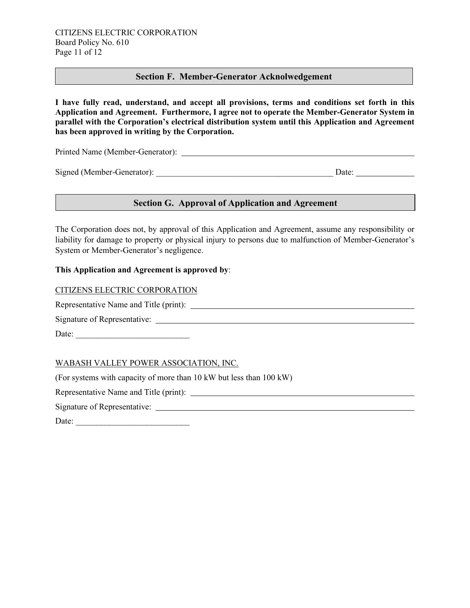### **Section F. Member-Generator Acknolwedgement**

**I have fully read, understand, and accept all provisions, terms and conditions set forth in this Application and Agreement. Furthermore, I agree not to operate the Member-Generator System in parallel with the Corporation's electrical distribution system until this Application and Agreement has been approved in writing by the Corporation.** 

Printed Name (Member-Generator):

Signed (Member-Generator): \_\_\_\_\_\_\_\_\_\_\_\_\_\_\_\_\_\_\_\_\_\_\_\_\_\_\_\_\_\_\_\_\_\_\_\_\_\_\_\_\_\_ Date:

# **If Applicable 2. If Approval of Application and Agreement** *Section G. Approval of Application and Agreement*

The Corporation does not, by approval of this Application and Agreement, assume any responsibility or liability for damage to property or physical injury to persons due to malfunction of Member-Generator's System or Member-Generator's negligence.

#### **This Application and Agreement is approved by**:

CITIZENS ELECTRIC CORPORATION

Representative Name and Title (print):

Signature of Representative:

Date: \_\_\_\_\_\_\_\_\_\_\_\_\_\_\_\_\_\_\_\_\_\_\_\_\_\_\_

### WABASH VALLEY POWER ASSOCIATION, INC.

(For systems with capacity of more than 10 kW but less than 100 kW)

Representative Name and Title (print):

Signature of Representative:

Date: